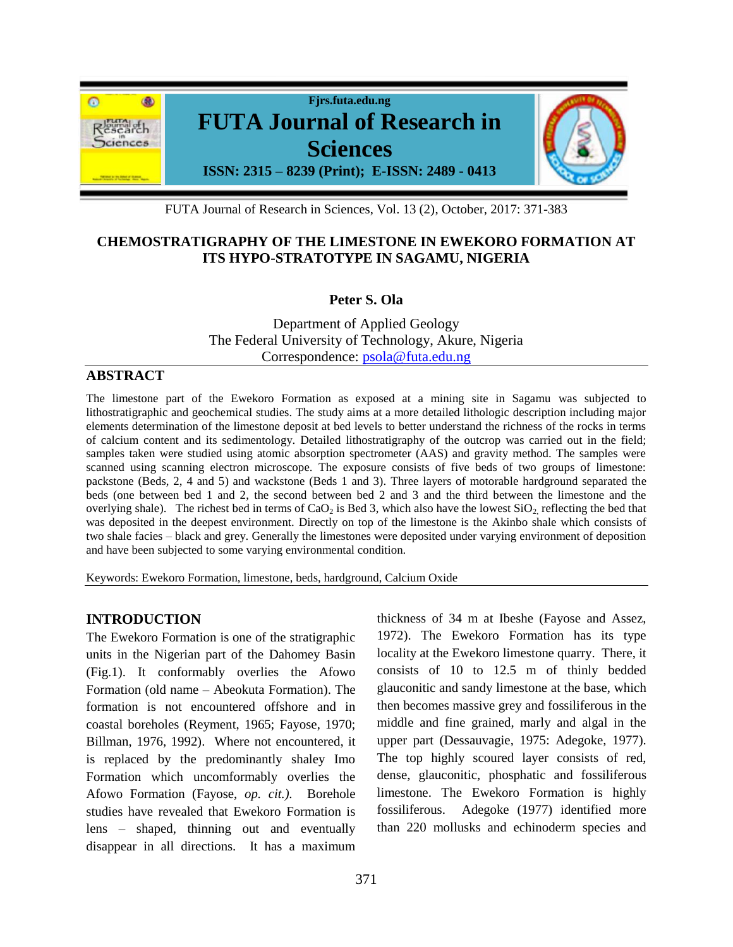

FUTA Journal of Research in Sciences, Vol. 13 (2), October, 2017: 371-383

# **CHEMOSTRATIGRAPHY OF THE LIMESTONE IN EWEKORO FORMATION AT ITS HYPO-STRATOTYPE IN SAGAMU, NIGERIA**

**Peter S. Ola** 

Department of Applied Geology The Federal University of Technology, Akure, Nigeria Correspondence: [psola@futa.edu.ng](mailto:psola@futa.edu.ng)

# **ABSTRACT**

The limestone part of the Ewekoro Formation as exposed at a mining site in Sagamu was subjected to lithostratigraphic and geochemical studies. The study aims at a more detailed lithologic description including major elements determination of the limestone deposit at bed levels to better understand the richness of the rocks in terms of calcium content and its sedimentology. Detailed lithostratigraphy of the outcrop was carried out in the field; samples taken were studied using atomic absorption spectrometer (AAS) and gravity method. The samples were scanned using scanning electron microscope. The exposure consists of five beds of two groups of limestone: packstone (Beds, 2, 4 and 5) and wackstone (Beds 1 and 3). Three layers of motorable hardground separated the beds (one between bed 1 and 2, the second between bed 2 and 3 and the third between the limestone and the overlying shale). The richest bed in terms of  $CaO<sub>2</sub>$  is Bed 3, which also have the lowest  $SiO<sub>2</sub>$  reflecting the bed that was deposited in the deepest environment. Directly on top of the limestone is the Akinbo shale which consists of two shale facies – black and grey. Generally the limestones were deposited under varying environment of deposition and have been subjected to some varying environmental condition.

Keywords: Ewekoro Formation, limestone, beds, hardground, Calcium Oxide

# **INTRODUCTION**

The Ewekoro Formation is one of the stratigraphic units in the Nigerian part of the Dahomey Basin (Fig.1). It conformably overlies the Afowo Formation (old name – Abeokuta Formation). The formation is not encountered offshore and in coastal boreholes (Reyment, 1965; Fayose, 1970; Billman, 1976, 1992). Where not encountered, it is replaced by the predominantly shaley Imo Formation which uncomformably overlies the Afowo Formation (Fayose, *op. cit.).* Borehole studies have revealed that Ewekoro Formation is lens – shaped, thinning out and eventually disappear in all directions. It has a maximum thickness of 34 m at Ibeshe (Fayose and Assez, 1972). The Ewekoro Formation has its type locality at the Ewekoro limestone quarry. There, it consists of 10 to 12.5 m of thinly bedded glauconitic and sandy limestone at the base, which then becomes massive grey and fossiliferous in the middle and fine grained, marly and algal in the upper part (Dessauvagie, 1975: Adegoke, 1977). The top highly scoured layer consists of red, dense, glauconitic, phosphatic and fossiliferous limestone. The Ewekoro Formation is highly fossiliferous. Adegoke (1977) identified more than 220 mollusks and echinoderm species and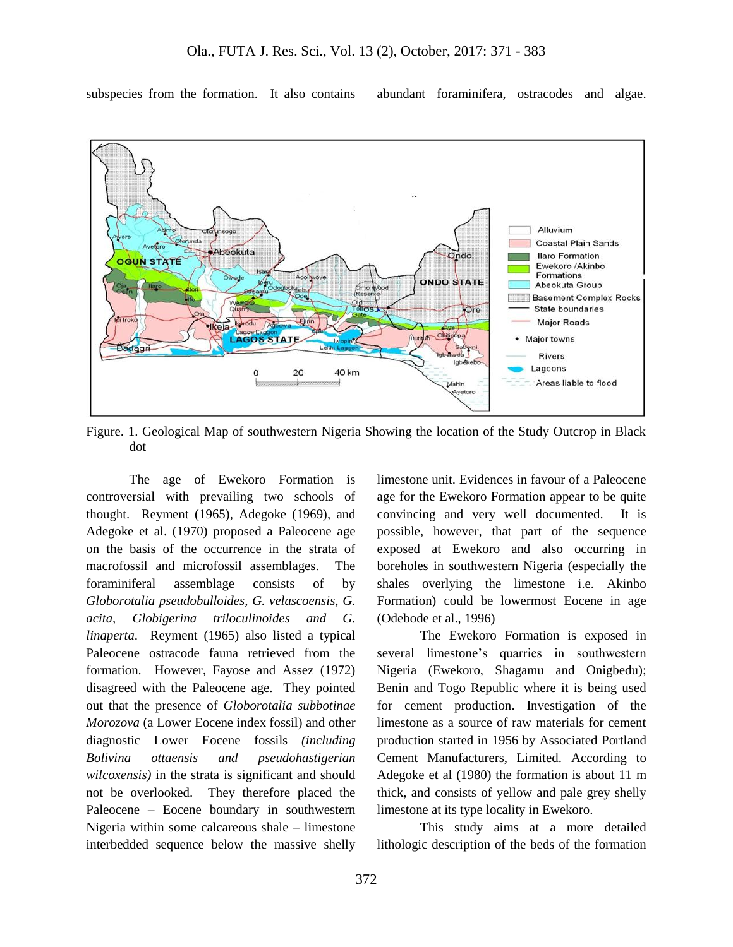subspecies from the formation. It also contains abundant foraminifera, ostracodes and algae.



Figure. 1. Geological Map of southwestern Nigeria Showing the location of the Study Outcrop in Black dot

The age of Ewekoro Formation is controversial with prevailing two schools of thought. Reyment (1965), Adegoke (1969), and Adegoke et al. (1970) proposed a Paleocene age on the basis of the occurrence in the strata of macrofossil and microfossil assemblages. The foraminiferal assemblage consists of by *Globorotalia pseudobulloides, G. velascoensis, G. acita, Globigerina triloculinoides and G. linaperta*. Reyment (1965) also listed a typical Paleocene ostracode fauna retrieved from the formation. However, Fayose and Assez (1972) disagreed with the Paleocene age. They pointed out that the presence of *Globorotalia subbotinae Morozova* (a Lower Eocene index fossil) and other diagnostic Lower Eocene fossils *(including Bolivina ottaensis and pseudohastigerian wilcoxensis)* in the strata is significant and should not be overlooked. They therefore placed the Paleocene – Eocene boundary in southwestern Nigeria within some calcareous shale – limestone interbedded sequence below the massive shelly limestone unit. Evidences in favour of a Paleocene age for the Ewekoro Formation appear to be quite convincing and very well documented. It is possible, however, that part of the sequence exposed at Ewekoro and also occurring in boreholes in southwestern Nigeria (especially the shales overlying the limestone i.e. Akinbo Formation) could be lowermost Eocene in age (Odebode et al., 1996)

The Ewekoro Formation is exposed in several limestone's quarries in southwestern Nigeria (Ewekoro, Shagamu and Onigbedu); Benin and Togo Republic where it is being used for cement production. Investigation of the limestone as a source of raw materials for cement production started in 1956 by Associated Portland Cement Manufacturers, Limited. According to Adegoke et al (1980) the formation is about 11 m thick, and consists of yellow and pale grey shelly limestone at its type locality in Ewekoro.

This study aims at a more detailed lithologic description of the beds of the formation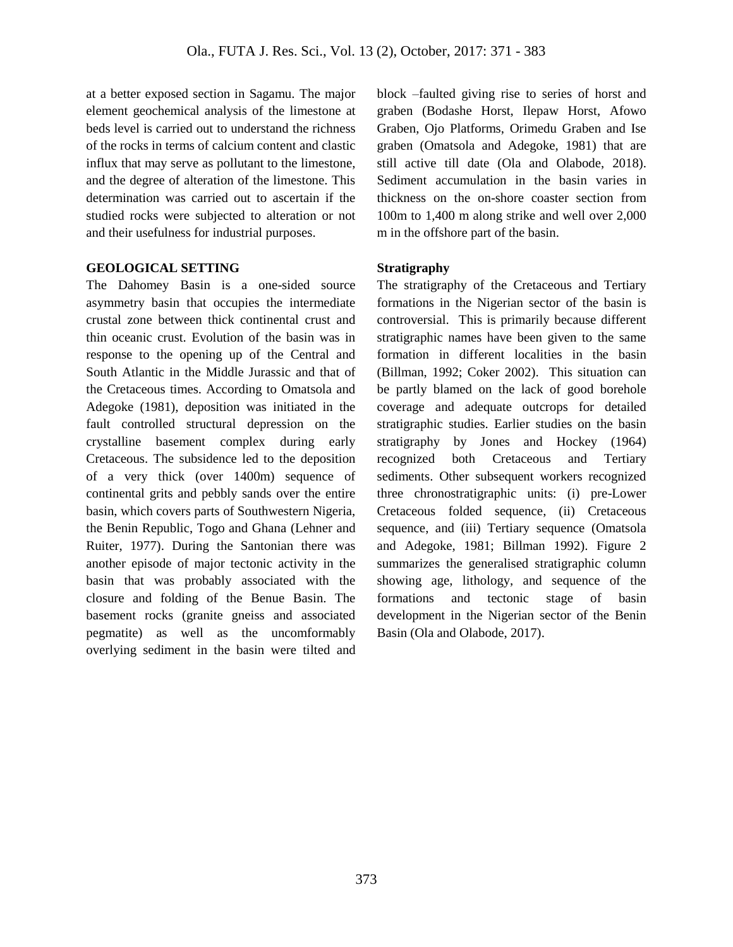at a better exposed section in Sagamu. The major element geochemical analysis of the limestone at beds level is carried out to understand the richness of the rocks in terms of calcium content and clastic influx that may serve as pollutant to the limestone, and the degree of alteration of the limestone. This determination was carried out to ascertain if the studied rocks were subjected to alteration or not and their usefulness for industrial purposes.

#### **GEOLOGICAL SETTING**

The Dahomey Basin is a one-sided source asymmetry basin that occupies the intermediate crustal zone between thick continental crust and thin oceanic crust. Evolution of the basin was in response to the opening up of the Central and South Atlantic in the Middle Jurassic and that of the Cretaceous times. According to Omatsola and Adegoke (1981), deposition was initiated in the fault controlled structural depression on the crystalline basement complex during early Cretaceous. The subsidence led to the deposition of a very thick (over 1400m) sequence of continental grits and pebbly sands over the entire basin, which covers parts of Southwestern Nigeria, the Benin Republic, Togo and Ghana (Lehner and Ruiter, 1977). During the Santonian there was another episode of major tectonic activity in the basin that was probably associated with the closure and folding of the Benue Basin. The basement rocks (granite gneiss and associated pegmatite) as well as the uncomformably overlying sediment in the basin were tilted and block –faulted giving rise to series of horst and graben (Bodashe Horst, Ilepaw Horst, Afowo Graben, Ojo Platforms, Orimedu Graben and Ise graben (Omatsola and Adegoke, 1981) that are still active till date (Ola and Olabode, 2018). Sediment accumulation in the basin varies in thickness on the on-shore coaster section from 100m to 1,400 m along strike and well over 2,000 m in the offshore part of the basin.

### **Stratigraphy**

The stratigraphy of the Cretaceous and Tertiary formations in the Nigerian sector of the basin is controversial. This is primarily because different stratigraphic names have been given to the same formation in different localities in the basin (Billman, 1992; Coker 2002). This situation can be partly blamed on the lack of good borehole coverage and adequate outcrops for detailed stratigraphic studies. Earlier studies on the basin stratigraphy by Jones and Hockey (1964) recognized both Cretaceous and Tertiary sediments. Other subsequent workers recognized three chronostratigraphic units: (i) pre-Lower Cretaceous folded sequence, (ii) Cretaceous sequence, and (iii) Tertiary sequence (Omatsola and Adegoke, 1981; Billman 1992). Figure 2 summarizes the generalised stratigraphic column showing age, lithology, and sequence of the formations and tectonic stage of basin development in the Nigerian sector of the Benin Basin (Ola and Olabode, 2017).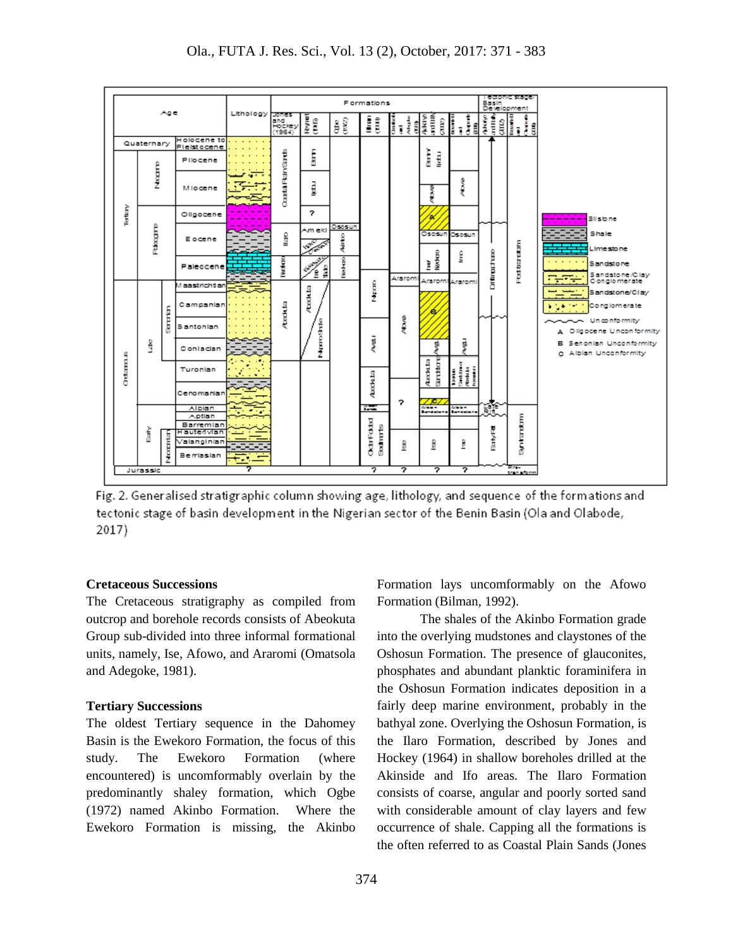

Fig. 2. Generalised stratigraphic column showing age, lithology, and sequence of the formations and tectonic stage of basin development in the Nigerian sector of the Benin Basin (Ola and Olabode,  $2017)$ 

### **Cretaceous Successions**

The Cretaceous stratigraphy as compiled from outcrop and borehole records consists of Abeokuta Group sub-divided into three informal formational units, namely, Ise, Afowo, and Araromi (Omatsola and Adegoke, 1981).

### **Tertiary Successions**

The oldest Tertiary sequence in the Dahomey Basin is the Ewekoro Formation, the focus of this study. The Ewekoro Formation (where encountered) is uncomformably overlain by the predominantly shaley formation, which Ogbe (1972) named Akinbo Formation. Where the Ewekoro Formation is missing, the Akinbo

Formation lays uncomformably on the Afowo Formation (Bilman, 1992).

The shales of the Akinbo Formation grade into the overlying mudstones and claystones of the Oshosun Formation. The presence of glauconites, phosphates and abundant planktic foraminifera in the Oshosun Formation indicates deposition in a fairly deep marine environment, probably in the bathyal zone. Overlying the Oshosun Formation, is the Ilaro Formation, described by Jones and Hockey (1964) in shallow boreholes drilled at the Akinside and Ifo areas. The Ilaro Formation consists of coarse, angular and poorly sorted sand with considerable amount of clay layers and few occurrence of shale. Capping all the formations is the often referred to as Coastal Plain Sands (Jones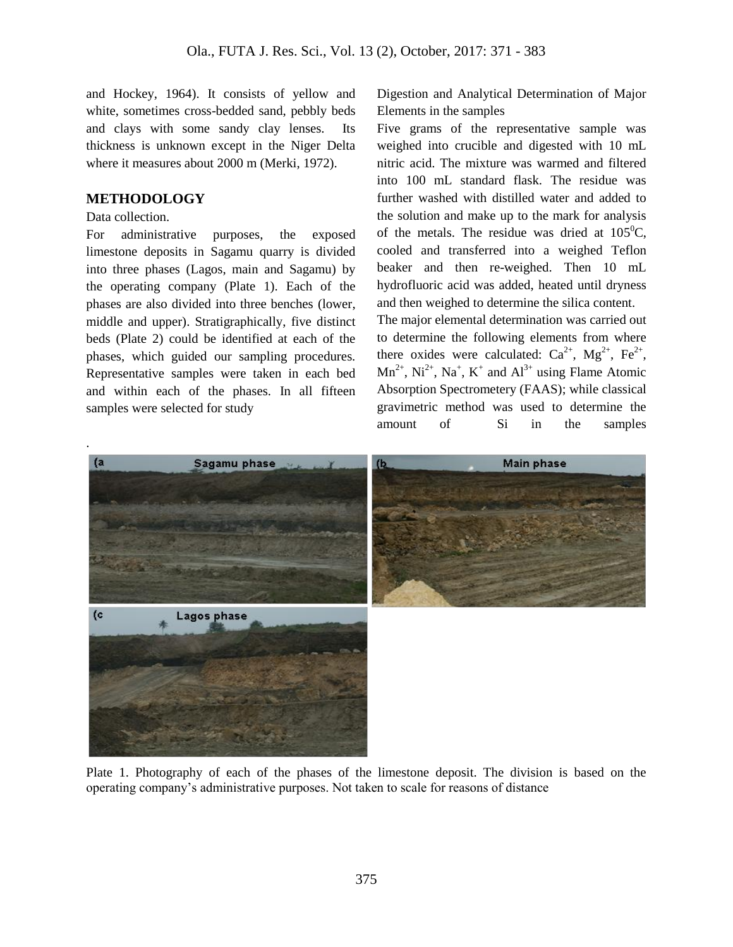and Hockey, 1964). It consists of yellow and white, sometimes cross-bedded sand, pebbly beds and clays with some sandy clay lenses. Its thickness is unknown except in the Niger Delta where it measures about 2000 m (Merki, 1972).

## **METHODOLOGY**

#### Data collection.

For administrative purposes, the exposed limestone deposits in Sagamu quarry is divided into three phases (Lagos, main and Sagamu) by the operating company (Plate 1). Each of the phases are also divided into three benches (lower, middle and upper). Stratigraphically, five distinct beds (Plate 2) could be identified at each of the phases, which guided our sampling procedures. Representative samples were taken in each bed and within each of the phases. In all fifteen samples were selected for study

Digestion and Analytical Determination of Major Elements in the samples

Five grams of the representative sample was weighed into crucible and digested with 10 mL nitric acid. The mixture was warmed and filtered into 100 mL standard flask. The residue was further washed with distilled water and added to the solution and make up to the mark for analysis of the metals. The residue was dried at  $105^{\circ}$ C, cooled and transferred into a weighed Teflon beaker and then re-weighed. Then 10 mL hydrofluoric acid was added, heated until dryness and then weighed to determine the silica content.

The major elemental determination was carried out to determine the following elements from where there oxides were calculated:  $Ca^{2+}$ ,  $Mg^{2+}$ ,  $Fe^{2+}$ ,  $Mn^{2+}$ ,  $Ni^{2+}$ ,  $Na^{+}$ ,  $K^{+}$  and  $Al^{3+}$  using Flame Atomic Absorption Spectrometery (FAAS); while classical gravimetric method was used to determine the amount of Si in the samples



Plate 1. Photography of each of the phases of the limestone deposit. The division is based on the operating company's administrative purposes. Not taken to scale for reasons of distance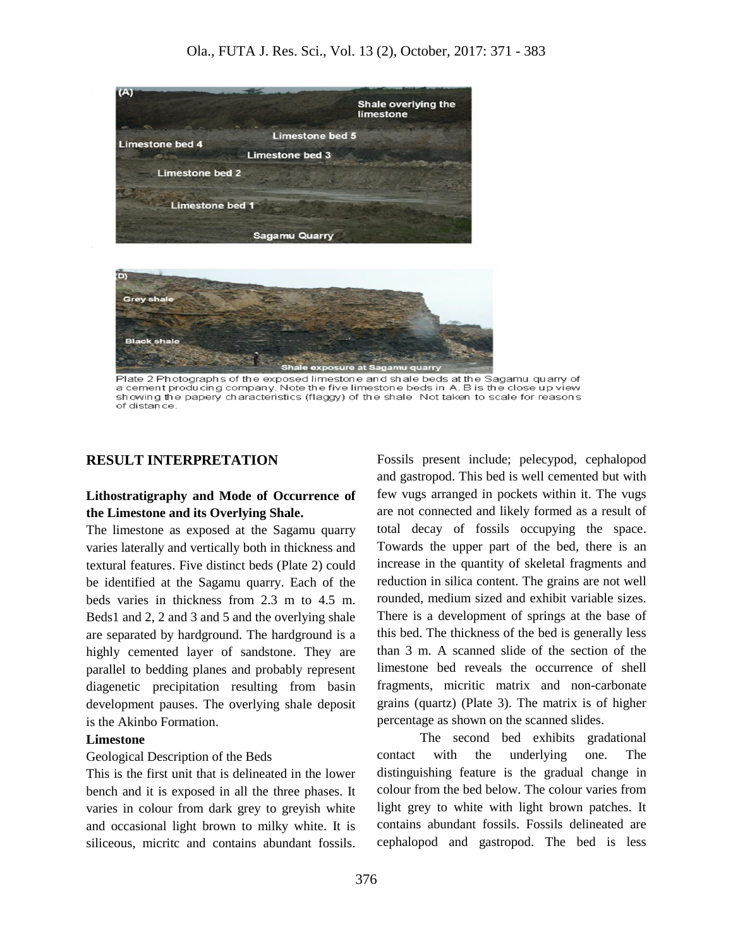



Plate 2 Photographs of the exposed limestone and shale beds at the Sagamu quarry of a cement producing company. Note the five limestone beds in A. B is the close up view showing the papery characteristics (flaggy) of the shale Not taken to scale for reasons of distance

### **RESULT INTERPRETATION**

# **Lithostratigraphy and Mode of Occurrence of the Limestone and its Overlying Shale.**

The limestone as exposed at the Sagamu quarry varies laterally and vertically both in thickness and textural features. Five distinct beds (Plate 2) could be identified at the Sagamu quarry. Each of the beds varies in thickness from 2.3 m to 4.5 m. Beds1 and 2, 2 and 3 and 5 and the overlying shale are separated by hardground. The hardground is a highly cemented layer of sandstone. They are parallel to bedding planes and probably represent diagenetic precipitation resulting from basin development pauses. The overlying shale deposit is the Akinbo Formation.

#### **Limestone**

#### Geological Description of the Beds

This is the first unit that is delineated in the lower bench and it is exposed in all the three phases. It varies in colour from dark grey to greyish white and occasional light brown to milky white. It is siliceous, micritc and contains abundant fossils.

Fossils present include; pelecypod, cephalopod and gastropod. This bed is well cemented but with few vugs arranged in pockets within it. The vugs are not connected and likely formed as a result of total decay of fossils occupying the space. Towards the upper part of the bed, there is an increase in the quantity of skeletal fragments and reduction in silica content. The grains are not well rounded, medium sized and exhibit variable sizes. There is a development of springs at the base of this bed. The thickness of the bed is generally less than 3 m. A scanned slide of the section of the limestone bed reveals the occurrence of shell fragments, micritic matrix and non-carbonate grains (quartz) (Plate 3). The matrix is of higher percentage as shown on the scanned slides.

The second bed exhibits gradational contact with the underlying one. The distinguishing feature is the gradual change in colour from the bed below. The colour varies from light grey to white with light brown patches. It contains abundant fossils. Fossils delineated are cephalopod and gastropod. The bed is less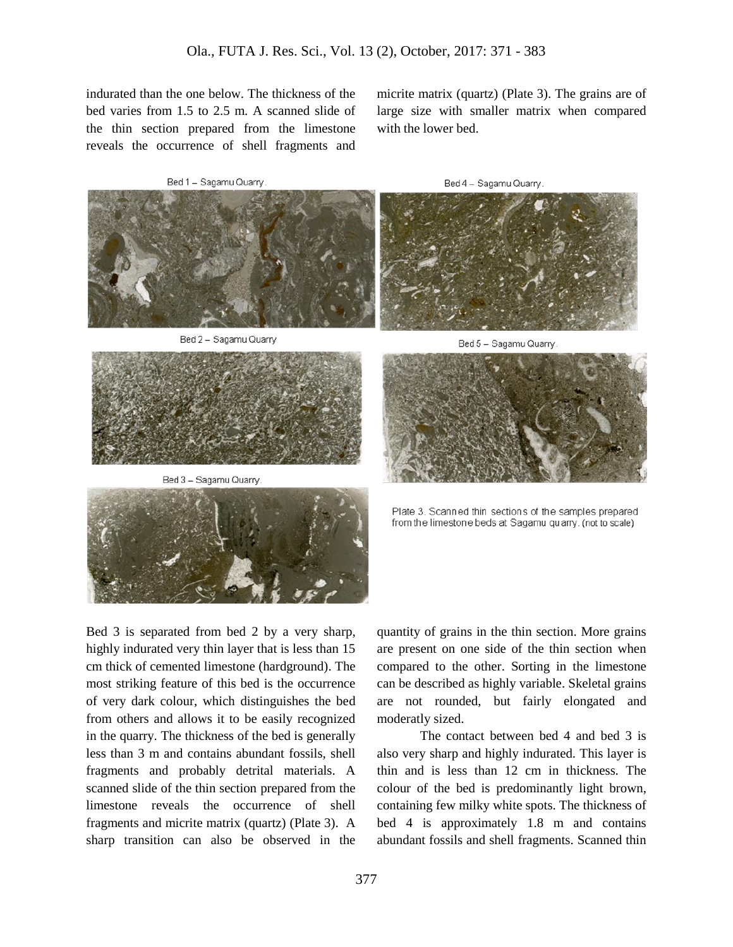indurated than the one below. The thickness of the bed varies from 1.5 to 2.5 m. A scanned slide of the thin section prepared from the limestone reveals the occurrence of shell fragments and

Bed 1 - Sagamu Quarry



Bed 2 - Sagamu Quarry



Bed 3 - Sagamu Quarry



micrite matrix (quartz) (Plate 3). The grains are of large size with smaller matrix when compared with the lower bed.

Bed 4 - Sagamu Quarry



Bed 5 - Sagamu Quarry



Plate 3. Scanned thin sections of the samples prepared from the limestone beds at Sagamu quarry. (not to scale)

Bed 3 is separated from bed 2 by a very sharp, highly indurated very thin layer that is less than 15 cm thick of cemented limestone (hardground). The most striking feature of this bed is the occurrence of very dark colour, which distinguishes the bed from others and allows it to be easily recognized in the quarry. The thickness of the bed is generally less than 3 m and contains abundant fossils, shell fragments and probably detrital materials. A scanned slide of the thin section prepared from the limestone reveals the occurrence of shell fragments and micrite matrix (quartz) (Plate 3). A sharp transition can also be observed in the

quantity of grains in the thin section. More grains are present on one side of the thin section when compared to the other. Sorting in the limestone can be described as highly variable. Skeletal grains are not rounded, but fairly elongated and moderatly sized.

The contact between bed 4 and bed 3 is also very sharp and highly indurated. This layer is thin and is less than 12 cm in thickness. The colour of the bed is predominantly light brown, containing few milky white spots. The thickness of bed 4 is approximately 1.8 m and contains abundant fossils and shell fragments. Scanned thin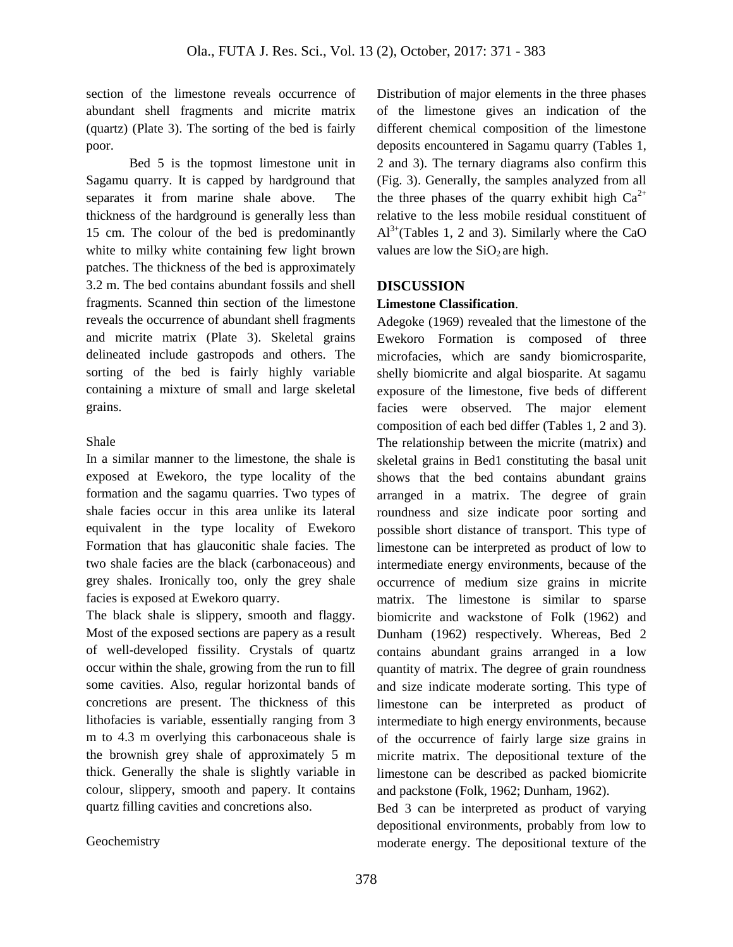section of the limestone reveals occurrence of abundant shell fragments and micrite matrix (quartz) (Plate 3). The sorting of the bed is fairly poor.

Bed 5 is the topmost limestone unit in Sagamu quarry. It is capped by hardground that separates it from marine shale above. The thickness of the hardground is generally less than 15 cm. The colour of the bed is predominantly white to milky white containing few light brown patches. The thickness of the bed is approximately 3.2 m. The bed contains abundant fossils and shell fragments. Scanned thin section of the limestone reveals the occurrence of abundant shell fragments and micrite matrix (Plate 3). Skeletal grains delineated include gastropods and others. The sorting of the bed is fairly highly variable containing a mixture of small and large skeletal grains.

## Shale

In a similar manner to the limestone, the shale is exposed at Ewekoro, the type locality of the formation and the sagamu quarries. Two types of shale facies occur in this area unlike its lateral equivalent in the type locality of Ewekoro Formation that has glauconitic shale facies. The two shale facies are the black (carbonaceous) and grey shales. Ironically too, only the grey shale facies is exposed at Ewekoro quarry.

The black shale is slippery, smooth and flaggy. Most of the exposed sections are papery as a result of well-developed fissility. Crystals of quartz occur within the shale, growing from the run to fill some cavities. Also, regular horizontal bands of concretions are present. The thickness of this lithofacies is variable, essentially ranging from 3 m to 4.3 m overlying this carbonaceous shale is the brownish grey shale of approximately 5 m thick. Generally the shale is slightly variable in colour, slippery, smooth and papery. It contains quartz filling cavities and concretions also.

### Geochemistry

Distribution of major elements in the three phases of the limestone gives an indication of the different chemical composition of the limestone deposits encountered in Sagamu quarry (Tables 1, 2 and 3). The ternary diagrams also confirm this (Fig. 3). Generally, the samples analyzed from all the three phases of the quarry exhibit high  $Ca^{2+}$ relative to the less mobile residual constituent of  $Al^{3+}$ (Tables 1, 2 and 3). Similarly where the CaO values are low the  $SiO<sub>2</sub>$  are high.

## **DISCUSSION**

# **Limestone Classification**.

Adegoke (1969) revealed that the limestone of the Ewekoro Formation is composed of three microfacies, which are sandy biomicrosparite, shelly biomicrite and algal biosparite. At sagamu exposure of the limestone, five beds of different facies were observed. The major element composition of each bed differ (Tables 1, 2 and 3). The relationship between the micrite (matrix) and skeletal grains in Bed1 constituting the basal unit shows that the bed contains abundant grains arranged in a matrix. The degree of grain roundness and size indicate poor sorting and possible short distance of transport. This type of limestone can be interpreted as product of low to intermediate energy environments, because of the occurrence of medium size grains in micrite matrix. The limestone is similar to sparse biomicrite and wackstone of Folk (1962) and Dunham (1962) respectively. Whereas, Bed 2 contains abundant grains arranged in a low quantity of matrix. The degree of grain roundness and size indicate moderate sorting. This type of limestone can be interpreted as product of intermediate to high energy environments, because of the occurrence of fairly large size grains in micrite matrix. The depositional texture of the limestone can be described as packed biomicrite and packstone (Folk, 1962; Dunham, 1962).

Bed 3 can be interpreted as product of varying depositional environments, probably from low to moderate energy. The depositional texture of the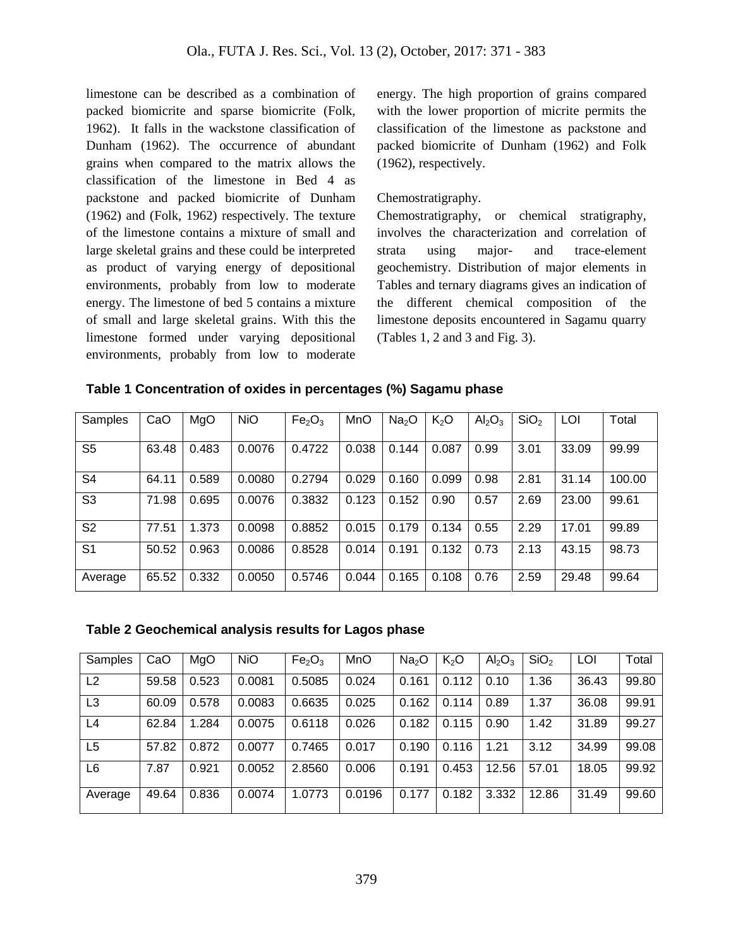limestone can be described as a combination of packed biomicrite and sparse biomicrite (Folk, 1962). It falls in the wackstone classification of Dunham (1962). The occurrence of abundant grains when compared to the matrix allows the classification of the limestone in Bed 4 as packstone and packed biomicrite of Dunham (1962) and (Folk, 1962) respectively. The texture of the limestone contains a mixture of small and large skeletal grains and these could be interpreted as product of varying energy of depositional environments, probably from low to moderate energy. The limestone of bed 5 contains a mixture of small and large skeletal grains. With this the limestone formed under varying depositional environments, probably from low to moderate

energy. The high proportion of grains compared with the lower proportion of micrite permits the classification of the limestone as packstone and packed biomicrite of Dunham (1962) and Folk (1962), respectively.

# Chemostratigraphy.

Chemostratigraphy, or chemical stratigraphy, involves the characterization and correlation of strata using major- and trace-element geochemistry. Distribution of major elements in Tables and ternary diagrams gives an indication of the different chemical composition of the limestone deposits encountered in Sagamu quarry (Tables 1, 2 and 3 and Fig. 3).

| Samples        | CaO   | MgO   | <b>NiO</b> | Fe <sub>2</sub> O <sub>3</sub> | MnO   | Na <sub>2</sub> O | K <sub>2</sub> O | Al <sub>2</sub> O <sub>3</sub> | SiO <sub>2</sub> | LOI   | Total  |
|----------------|-------|-------|------------|--------------------------------|-------|-------------------|------------------|--------------------------------|------------------|-------|--------|
|                |       |       |            |                                |       |                   |                  |                                |                  |       |        |
| S <sub>5</sub> | 63.48 | 0.483 | 0.0076     | 0.4722                         | 0.038 | 0.144             | 0.087            | 0.99                           | 3.01             | 33.09 | 99.99  |
|                |       |       |            |                                |       |                   |                  |                                |                  |       |        |
| S <sub>4</sub> | 64.11 | 0.589 | 0.0080     | 0.2794                         | 0.029 | 0.160             | 0.099            | 0.98                           | 2.81             | 31.14 | 100.00 |
|                |       |       |            |                                |       |                   |                  |                                |                  |       |        |
| S <sub>3</sub> | 71.98 | 0.695 | 0.0076     | 0.3832                         | 0.123 | 0.152             | 0.90             | 0.57                           | 2.69             | 23.00 | 99.61  |
|                |       |       |            |                                |       |                   |                  |                                |                  |       |        |
| S <sub>2</sub> | 77.51 | 1.373 | 0.0098     | 0.8852                         | 0.015 | 0.179             | 0.134            | 0.55                           | 2.29             | 17.01 | 99.89  |
|                |       |       |            |                                |       |                   |                  |                                |                  |       |        |
| S <sub>1</sub> | 50.52 | 0.963 | 0.0086     | 0.8528                         | 0.014 | 0.191             | 0.132            | 0.73                           | 2.13             | 43.15 | 98.73  |
|                |       |       |            |                                |       |                   |                  |                                |                  |       |        |
| Average        | 65.52 | 0.332 | 0.0050     | 0.5746                         | 0.044 | 0.165             | 0.108            | 0.76                           | 2.59             | 29.48 | 99.64  |

**Table 1 Concentration of oxides in percentages (%) Sagamu phase**

# **Table 2 Geochemical analysis results for Lagos phase**

| Samples        | CaO   | MgO   | <b>NiO</b> | Fe <sub>2</sub> O <sub>3</sub> | <b>MnO</b> | Na <sub>2</sub> O | K <sub>2</sub> O | Al <sub>2</sub> O <sub>3</sub> | SiO <sub>2</sub> | LOI   | Total |
|----------------|-------|-------|------------|--------------------------------|------------|-------------------|------------------|--------------------------------|------------------|-------|-------|
| L2             | 59.58 | 0.523 | 0.0081     | 0.5085                         | 0.024      | 0.161             | 0.112            | 0.10                           | 1.36             | 36.43 | 99.80 |
| L <sub>3</sub> | 60.09 | 0.578 | 0.0083     | 0.6635                         | 0.025      | 0.162             | 0.114            | 0.89                           | 1.37             | 36.08 | 99.91 |
| L4             | 62.84 | 1.284 | 0.0075     | 0.6118                         | 0.026      | 0.182             | 0.115            | 0.90                           | 1.42             | 31.89 | 99.27 |
| L <sub>5</sub> | 57.82 | 0.872 | 0.0077     | 0.7465                         | 0.017      | 0.190             | 0.116            | 1.21                           | 3.12             | 34.99 | 99.08 |
| L6             | 7.87  | 0.921 | 0.0052     | 2.8560                         | 0.006      | 0.191             | 0.453            | 12.56                          | 57.01            | 18.05 | 99.92 |
| Average        | 49.64 | 0.836 | 0.0074     | 1.0773                         | 0.0196     | 0.177             | 0.182            | 3.332                          | 12.86            | 31.49 | 99.60 |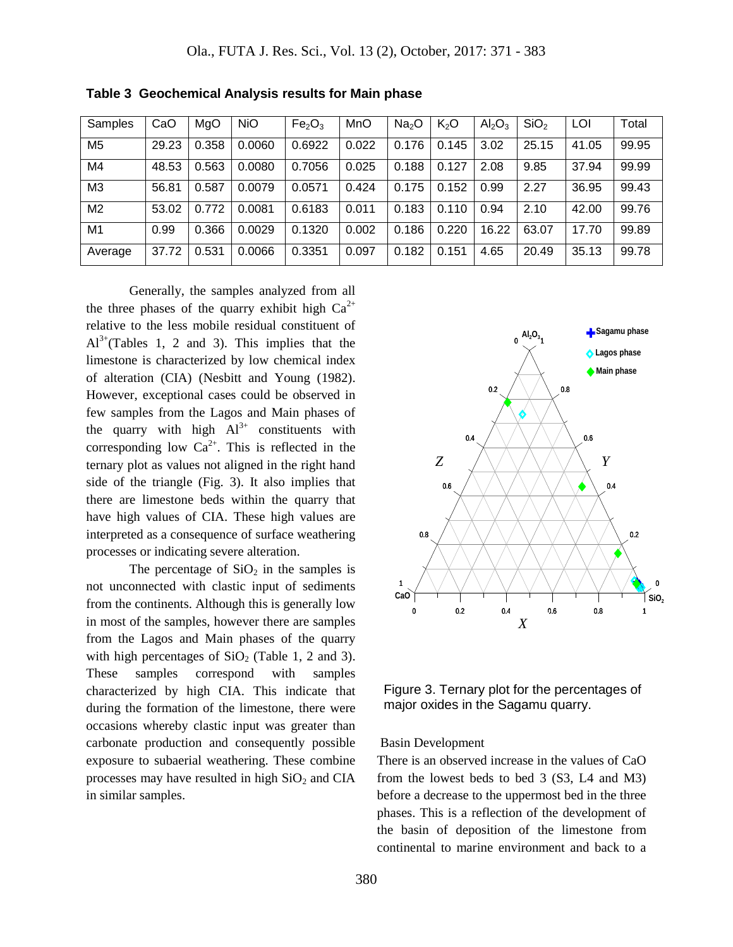| Samples        | CaO   | MgO   | <b>NiO</b> | Fe <sub>2</sub> O <sub>3</sub> | MnO   | Na <sub>2</sub> O | K <sub>2</sub> O | $\text{Al}_2\text{O}_3$ | SiO <sub>2</sub> | LOI   | Total |
|----------------|-------|-------|------------|--------------------------------|-------|-------------------|------------------|-------------------------|------------------|-------|-------|
| M <sub>5</sub> | 29.23 | 0.358 | 0.0060     | 0.6922                         | 0.022 | 0.176             | 0.145            | 3.02                    | 25.15            | 41.05 | 99.95 |
| M4             | 48.53 | 0.563 | 0.0080     | 0.7056                         | 0.025 | 0.188             | 0.127            | 2.08                    | 9.85             | 37.94 | 99.99 |
| M <sub>3</sub> | 56.81 | 0.587 | 0.0079     | 0.0571                         | 0.424 | 0.175             | 0.152            | 0.99                    | 2.27             | 36.95 | 99.43 |
| M <sub>2</sub> | 53.02 | 0.772 | 0.0081     | 0.6183                         | 0.011 | 0.183             | 0.110            | 0.94                    | 2.10             | 42.00 | 99.76 |
| M <sub>1</sub> | 0.99  | 0.366 | 0.0029     | 0.1320                         | 0.002 | 0.186             | 0.220            | 16.22                   | 63.07            | 17.70 | 99.89 |
| Average        | 37.72 | 0.531 | 0.0066     | 0.3351                         | 0.097 | 0.182             | 0.151            | 4.65                    | 20.49            | 35.13 | 99.78 |

**Table 3 Geochemical Analysis results for Main phase**

Generally, the samples analyzed from all the three phases of the quarry exhibit high  $Ca^{2+}$ relative to the less mobile residual constituent of  $Al^{3+}$ (Tables 1, 2 and 3). This implies that the limestone is characterized by low chemical index of alteration (CIA) (Nesbitt and Young (1982). However, exceptional cases could be observed in few samples from the Lagos and Main phases of the quarry with high  $Al^{3+}$  constituents with corresponding low  $Ca^{2+}$ . This is reflected in the ternary plot as values not aligned in the right hand side of the triangle (Fig. 3). It also implies that there are limestone beds within the quarry that have high values of CIA. These high values are interpreted as a consequence of surface weathering processes or indicating severe alteration.

The percentage of  $SiO<sub>2</sub>$  in the samples is not unconnected with clastic input of sediments from the continents. Although this is generally low in most of the samples, however there are samples from the Lagos and Main phases of the quarry with high percentages of  $SiO<sub>2</sub>$  (Table 1, 2 and 3). These samples correspond with samples characterized by high CIA. This indicate that during the formation of the limestone, there were occasions whereby clastic input was greater than carbonate production and consequently possible exposure to subaerial weathering. These combine processes may have resulted in high  $SiO<sub>2</sub>$  and CIA in similar samples.



Figure 3. Ternary plot for the percentages of major oxides in the Sagamu quarry.

### Basin Development

There is an observed increase in the values of CaO from the lowest beds to bed 3 (S3, L4 and M3) before a decrease to the uppermost bed in the three phases. This is a reflection of the development of the basin of deposition of the limestone from continental to marine environment and back to a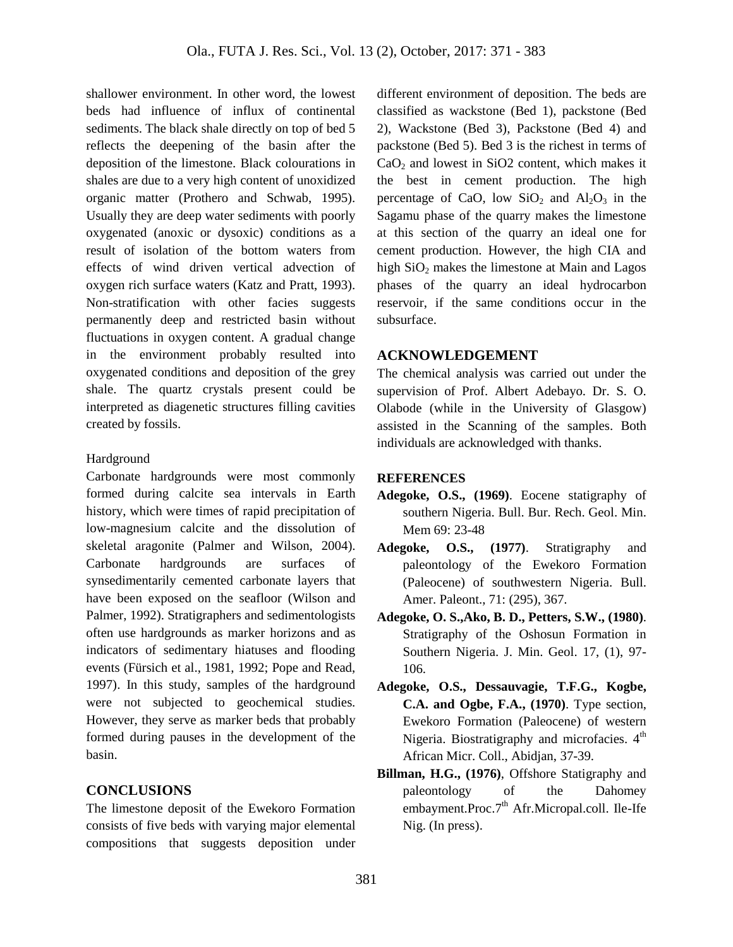shallower environment. In other word, the lowest beds had influence of influx of continental sediments. The black shale directly on top of bed 5 reflects the deepening of the basin after the deposition of the limestone. Black colourations in shales are due to a very high content of unoxidized organic matter (Prothero and Schwab, 1995). Usually they are deep water sediments with poorly oxygenated (anoxic or dysoxic) conditions as a result of isolation of the bottom waters from effects of wind driven vertical advection of oxygen rich surface waters (Katz and Pratt, 1993). Non-stratification with other facies suggests permanently deep and restricted basin without fluctuations in oxygen content. A gradual change in the environment probably resulted into oxygenated conditions and deposition of the grey shale. The quartz crystals present could be interpreted as diagenetic structures filling cavities created by fossils.

### Hardground

Carbonate hardgrounds were most commonly formed during [calcite sea](https://en.wikipedia.org/wiki/Calcite_sea) intervals in Earth history, which were times of rapid precipitation of low-magnesium [calcite](https://en.wikipedia.org/wiki/Calcite) and the dissolution of skeletal [aragonite](https://en.wikipedia.org/wiki/Aragonite) (Palmer and Wilson, 2004). Carbonate hardgrounds are surfaces of synsedimentarily cemented carbonate layers that have been exposed on the [seafloor](https://en.wikipedia.org/wiki/Seafloor) (Wilson and Palmer, 1992). Stratigraphers and sedimentologists often use hardgrounds as [marker horizons](https://en.wikipedia.org/wiki/Marker_horizon) and as indicators of sedimentary hiatuses and flooding events (Fürsich et al., 1981, 1992; Pope and Read, 1997). In this study, samples of the hardground were not subjected to geochemical studies. However, they serve as marker beds that probably formed during pauses in the development of the basin.

# **CONCLUSIONS**

The limestone deposit of the Ewekoro Formation consists of five beds with varying major elemental compositions that suggests deposition under different environment of deposition. The beds are classified as wackstone (Bed 1), packstone (Bed 2), Wackstone (Bed 3), Packstone (Bed 4) and packstone (Bed 5). Bed 3 is the richest in terms of  $CaO<sub>2</sub>$  and lowest in SiO2 content, which makes it the best in cement production. The high percentage of CaO, low  $SiO_2$  and  $Al_2O_3$  in the Sagamu phase of the quarry makes the limestone at this section of the quarry an ideal one for cement production. However, the high CIA and high  $SiO<sub>2</sub>$  makes the limestone at Main and Lagos phases of the quarry an ideal hydrocarbon reservoir, if the same conditions occur in the subsurface.

# **ACKNOWLEDGEMENT**

The chemical analysis was carried out under the supervision of Prof. Albert Adebayo. Dr. S. O. Olabode (while in the University of Glasgow) assisted in the Scanning of the samples. Both individuals are acknowledged with thanks.

# **REFERENCES**

- **Adegoke, O.S., (1969)**. Eocene statigraphy of southern Nigeria. Bull. Bur. Rech. Geol. Min. Mem 69: 23-48
- **Adegoke, O.S., (1977)**. Stratigraphy and paleontology of the Ewekoro Formation (Paleocene) of southwestern Nigeria. Bull. Amer. Paleont., 71: (295), 367.
- **Adegoke, O. S.,Ako, B. D., Petters, S.W., (1980)**. Stratigraphy of the Oshosun Formation in Southern Nigeria. J. Min. Geol. 17, (1), 97- 106.
- **Adegoke, O.S., Dessauvagie, T.F.G., Kogbe, C.A. and Ogbe, F.A., (1970)**. Type section, Ewekoro Formation (Paleocene) of western Nigeria. Biostratigraphy and microfacies.  $4<sup>th</sup>$ African Micr. Coll., Abidjan, 37-39.
- **Billman, H.G., (1976)**, Offshore Statigraphy and paleontology of the Dahomey embayment.Proc.7<sup>th</sup> Afr.Micropal.coll. Ile-Ife Nig. (In press).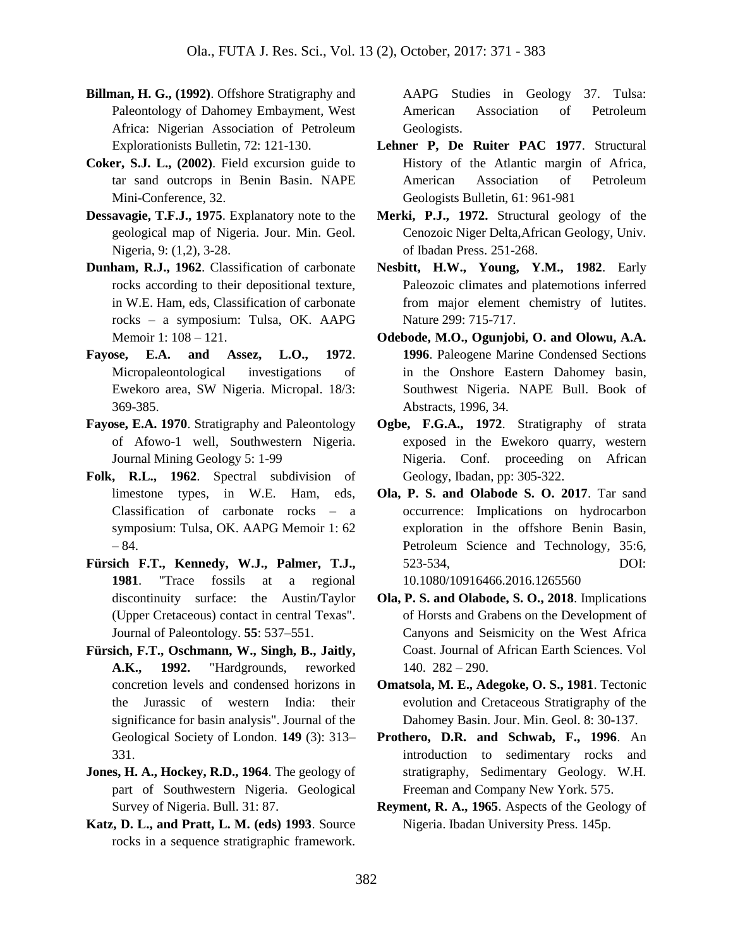- **Billman, H. G., (1992)**. Offshore Stratigraphy and Paleontology of Dahomey Embayment, West Africa: Nigerian Association of Petroleum Explorationists Bulletin, 72: 121-130.
- **Coker, S.J. L., (2002)**. Field excursion guide to tar sand outcrops in Benin Basin. NAPE Mini-Conference, 32.
- **Dessavagie, T.F.J., 1975**. Explanatory note to the geological map of Nigeria. Jour. Min. Geol. Nigeria, 9: (1,2), 3-28.
- **Dunham, R.J., 1962**. Classification of carbonate rocks according to their depositional texture, in W.E. Ham, eds, Classification of carbonate rocks – a symposium: Tulsa, OK. AAPG Memoir 1: 108 – 121.
- **Fayose, E.A. and Assez, L.O., 1972**. Micropaleontological investigations of Ewekoro area, SW Nigeria. Micropal. 18/3: 369-385.
- **Fayose, E.A. 1970**. Stratigraphy and Paleontology of Afowo-1 well, Southwestern Nigeria. Journal Mining Geology 5: 1-99
- **Folk, R.L., 1962**. Spectral subdivision of limestone types, in W.E. Ham, eds, Classification of carbonate rocks – a symposium: Tulsa, OK. AAPG Memoir 1: 62 – 84.
- **Fürsich F.T., Kennedy, W.J., Palmer, T.J., 1981**. "Trace fossils at a regional discontinuity surface: the Austin/Taylor (Upper Cretaceous) contact in central Texas". Journal of Paleontology. **55**: 537–551.
- **Fürsich, F.T., Oschmann, W., Singh, B., Jaitly, A.K., 1992.** "Hardgrounds, reworked concretion levels and condensed horizons in the Jurassic of western India: their significance for basin analysis". Journal of the Geological Society of London. **149** (3): 313– 331.
- **Jones, H. A., Hockey, R.D., 1964**. The geology of part of Southwestern Nigeria. Geological Survey of Nigeria. Bull. 31: 87.
- **Katz, D. L., and Pratt, L. M. (eds) 1993**. Source rocks in a sequence stratigraphic framework.

AAPG Studies in Geology 37. Tulsa: American Association of Petroleum Geologists.

- Lehner P, De Ruiter PAC 1977. Structural History of the Atlantic margin of Africa, American Association of Petroleum Geologists Bulletin, 61: 961-981
- **Merki, P.J., 1972.** Structural geology of the Cenozoic Niger Delta,African Geology, Univ. of Ibadan Press. 251-268.
- **Nesbitt, H.W., Young, Y.M., 1982**. Early Paleozoic climates and platemotions inferred from major element chemistry of lutites. Nature 299: 715-717.
- **Odebode, M.O., Ogunjobi, O. and Olowu, A.A. 1996**. Paleogene Marine Condensed Sections in the Onshore Eastern Dahomey basin, Southwest Nigeria. NAPE Bull. Book of Abstracts, 1996, 34.
- **Ogbe, F.G.A., 1972**. Stratigraphy of strata exposed in the Ewekoro quarry, western Nigeria. Conf. proceeding on African Geology, Ibadan, pp: 305-322.
- **Ola, P. S. and Olabode S. O. 2017**. Tar sand occurrence: Implications on hydrocarbon exploration in the offshore Benin Basin, Petroleum Science and Technology, 35:6, 523-534, DOI: 10.1080/10916466.2016.1265560
- **Ola, P. S. and Olabode, S. O., 2018**. Implications of Horsts and Grabens on the Development of Canyons and Seismicity on the West Africa Coast. Journal of African Earth Sciences. Vol 140. 282 – 290.
- **Omatsola, M. E., Adegoke, O. S., 1981**. Tectonic evolution and Cretaceous Stratigraphy of the Dahomey Basin. Jour. Min. Geol. 8: 30-137.
- **Prothero, D.R. and Schwab, F., 1996**. An introduction to sedimentary rocks and stratigraphy, Sedimentary Geology. W.H. Freeman and Company New York. 575.
- **Reyment, R. A., 1965**. Aspects of the Geology of Nigeria. Ibadan University Press. 145p.